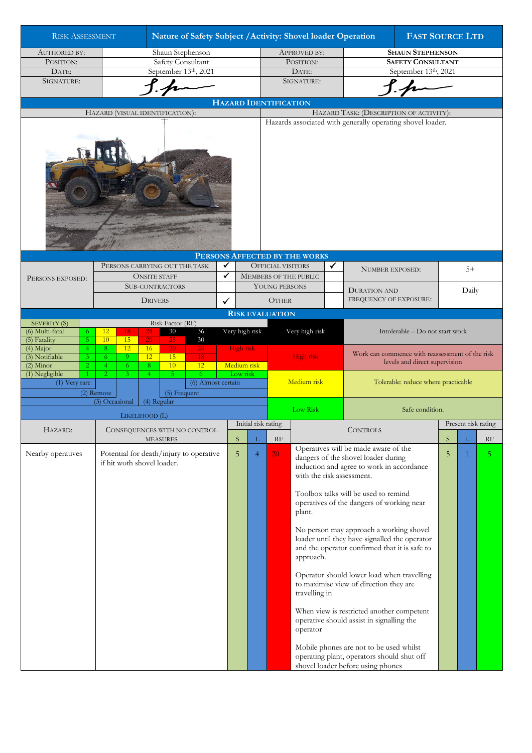| <b>RISK ASSESSMENT</b>                                          |                                                                |                            |                     | Nature of Safety Subject / Activity: Shovel loader Operation |                               |               |             |                                            |                                                            |                                                                                 |                                                 |                                                                                                                                           | <b>FAST SOURCE LTD</b> |       |                |  |  |  |  |
|-----------------------------------------------------------------|----------------------------------------------------------------|----------------------------|---------------------|--------------------------------------------------------------|-------------------------------|---------------|-------------|--------------------------------------------|------------------------------------------------------------|---------------------------------------------------------------------------------|-------------------------------------------------|-------------------------------------------------------------------------------------------------------------------------------------------|------------------------|-------|----------------|--|--|--|--|
| <b>AUTHORED BY:</b>                                             | Shaun Stephenson                                               |                            |                     |                                                              |                               |               |             | <b>APPROVED BY:</b>                        |                                                            |                                                                                 | <b>SHAUN STEPHENSON</b>                         |                                                                                                                                           |                        |       |                |  |  |  |  |
| POSITION:                                                       | Safety Consultant                                              |                            |                     |                                                              |                               |               |             |                                            |                                                            | POSITION:                                                                       |                                                 | <b>SAFETY CONSULTANT</b>                                                                                                                  |                        |       |                |  |  |  |  |
| DATE:                                                           | September 13th, 2021                                           |                            |                     |                                                              |                               |               |             |                                            |                                                            | DATE:                                                                           |                                                 | September 13th, 2021                                                                                                                      |                        |       |                |  |  |  |  |
| SIGNATURE:                                                      |                                                                |                            |                     |                                                              |                               |               |             |                                            |                                                            | SIGNATURE:                                                                      |                                                 |                                                                                                                                           |                        |       |                |  |  |  |  |
|                                                                 |                                                                |                            |                     |                                                              |                               |               |             |                                            |                                                            |                                                                                 |                                                 |                                                                                                                                           |                        |       |                |  |  |  |  |
|                                                                 |                                                                |                            |                     |                                                              |                               |               |             |                                            |                                                            |                                                                                 |                                                 |                                                                                                                                           |                        |       |                |  |  |  |  |
| <b>HAZARD IDENTIFICATION</b><br>HAZARD (VISUAL IDENTIFICATION): |                                                                |                            |                     |                                                              |                               |               |             |                                            |                                                            |                                                                                 |                                                 | HAZARD TASK: (DESCRIPTION OF ACTIVITY):                                                                                                   |                        |       |                |  |  |  |  |
|                                                                 |                                                                |                            |                     |                                                              |                               |               |             |                                            | Hazards associated with generally operating shovel loader. |                                                                                 |                                                 |                                                                                                                                           |                        |       |                |  |  |  |  |
|                                                                 |                                                                |                            |                     |                                                              |                               |               |             |                                            |                                                            |                                                                                 |                                                 |                                                                                                                                           |                        |       |                |  |  |  |  |
|                                                                 |                                                                |                            |                     |                                                              |                               |               |             |                                            |                                                            | PERSONS AFFECTED BY THE WORKS                                                   |                                                 |                                                                                                                                           |                        |       |                |  |  |  |  |
|                                                                 |                                                                |                            |                     |                                                              | PERSONS CARRYING OUT THE TASK | ✔             |             |                                            | <b>OFFICIAL VISITORS</b>                                   |                                                                                 | ✓                                               | <b>NUMBER EXPOSED:</b>                                                                                                                    |                        | $5+$  |                |  |  |  |  |
| PERSONS EXPOSED:                                                |                                                                |                            | <b>ONSITE STAFF</b> |                                                              |                               | $\checkmark$  |             |                                            |                                                            | MEMBERS OF THE PUBLIC                                                           |                                                 |                                                                                                                                           |                        |       |                |  |  |  |  |
|                                                                 |                                                                |                            |                     |                                                              |                               | YOUNG PERSONS |             |                                            |                                                            |                                                                                 |                                                 |                                                                                                                                           |                        |       |                |  |  |  |  |
|                                                                 | <b>SUB-CONTRACTORS</b>                                         |                            |                     |                                                              |                               |               |             |                                            |                                                            |                                                                                 |                                                 | <b>DURATION AND</b>                                                                                                                       |                        | Daily |                |  |  |  |  |
|                                                                 |                                                                |                            | <b>DRIVERS</b><br>✓ |                                                              |                               |               |             |                                            | <b>OTHER</b>                                               |                                                                                 |                                                 | FREQUENCY OF EXPOSURE:                                                                                                                    |                        |       |                |  |  |  |  |
|                                                                 |                                                                |                            |                     |                                                              |                               |               |             |                                            | <b>RISK EVALUATION</b>                                     |                                                                                 |                                                 |                                                                                                                                           |                        |       |                |  |  |  |  |
| <b>SEVERITY (S)</b>                                             |                                                                |                            |                     | Risk Factor (RF)                                             |                               |               |             |                                            | Very high risk<br>Intolerable - Do not start work          |                                                                                 |                                                 |                                                                                                                                           |                        |       |                |  |  |  |  |
| (6) Multi-fatal<br>6<br>5 <sup>°</sup><br>(5) Fatality          | 12<br>10                                                       | 18<br>15                   | 24<br>20            | 30<br>25                                                     | $36\,$<br>30                  |               |             | Very high risk                             |                                                            |                                                                                 |                                                 |                                                                                                                                           |                        |       |                |  |  |  |  |
| (4) Major<br>$\overline{4}$                                     | 8                                                              | 12                         | 16                  | 20                                                           | 24                            |               | High risk   |                                            |                                                            |                                                                                 |                                                 |                                                                                                                                           |                        |       |                |  |  |  |  |
| (3) Notifiable<br>3                                             | 6.                                                             | 9 <sup>°</sup>             | 12                  | 15                                                           | 18                            |               |             |                                            |                                                            | High risk                                                                       | Work can commence with reassessment of the risk |                                                                                                                                           |                        |       |                |  |  |  |  |
| $(2)$ Minor<br>$\overline{2}$                                   | 4                                                              | 6                          | 8                   | 10                                                           | 12                            |               | Medium risk |                                            |                                                            |                                                                                 |                                                 | levels and direct supervision                                                                                                             |                        |       |                |  |  |  |  |
| (1) Negligible<br>(1) Very rare                                 | $\overline{2}$                                                 | 3                          | $\overline{4}$      | 5                                                            | 6<br>(6) Almost certain       |               | Low risk    |                                            |                                                            | Medium risk                                                                     |                                                 | Tolerable: reduce where practicable                                                                                                       |                        |       |                |  |  |  |  |
|                                                                 | (2) Remote                                                     |                            |                     |                                                              | $(5)$ Frequent                |               |             |                                            |                                                            |                                                                                 |                                                 |                                                                                                                                           |                        |       |                |  |  |  |  |
|                                                                 | (3) Occasional                                                 |                            | (4) Regular         |                                                              |                               |               |             |                                            |                                                            |                                                                                 |                                                 |                                                                                                                                           |                        |       |                |  |  |  |  |
|                                                                 |                                                                |                            |                     |                                                              |                               |               |             |                                            |                                                            | Low Risk<br>Safe condition.                                                     |                                                 |                                                                                                                                           |                        |       |                |  |  |  |  |
|                                                                 |                                                                |                            |                     | LIKELIHOOD (L)<br>Initial risk rating                        |                               |               |             |                                            |                                                            |                                                                                 |                                                 | Present risk rating                                                                                                                       |                        |       |                |  |  |  |  |
| HAZARD:                                                         |                                                                |                            |                     |                                                              | CONSEQUENCES WITH NO CONTROL  |               |             |                                            |                                                            |                                                                                 |                                                 | CONTROLS                                                                                                                                  |                        |       |                |  |  |  |  |
|                                                                 |                                                                |                            |                     | <b>MEASURES</b>                                              |                               |               | S.          | L                                          | RF                                                         |                                                                                 | Operatives will be made aware of the            |                                                                                                                                           | S                      |       | RF             |  |  |  |  |
| Nearby operatives                                               | Potential for death/injury to operative<br>5<br>$\overline{4}$ |                            |                     |                                                              |                               |               |             |                                            | 20                                                         |                                                                                 |                                                 |                                                                                                                                           | 5                      | 1     | 5 <sup>1</sup> |  |  |  |  |
|                                                                 |                                                                | if hit woth shovel loader. |                     |                                                              |                               |               |             |                                            |                                                            |                                                                                 |                                                 | dangers of the shovel loader during<br>induction and agree to work in accordance<br>with the risk assessment.                             |                        |       |                |  |  |  |  |
|                                                                 |                                                                |                            |                     |                                                              |                               |               |             |                                            |                                                            |                                                                                 |                                                 |                                                                                                                                           |                        |       |                |  |  |  |  |
|                                                                 |                                                                |                            |                     |                                                              |                               |               |             |                                            |                                                            |                                                                                 |                                                 |                                                                                                                                           |                        |       |                |  |  |  |  |
|                                                                 |                                                                |                            |                     |                                                              |                               |               |             |                                            |                                                            |                                                                                 |                                                 | Toolbox talks will be used to remind                                                                                                      |                        |       |                |  |  |  |  |
|                                                                 |                                                                |                            |                     |                                                              |                               |               |             |                                            |                                                            |                                                                                 |                                                 | operatives of the dangers of working near                                                                                                 |                        |       |                |  |  |  |  |
|                                                                 |                                                                |                            |                     |                                                              |                               |               |             |                                            |                                                            | plant.                                                                          |                                                 |                                                                                                                                           |                        |       |                |  |  |  |  |
|                                                                 |                                                                |                            |                     |                                                              |                               |               |             |                                            |                                                            |                                                                                 |                                                 |                                                                                                                                           |                        |       |                |  |  |  |  |
|                                                                 |                                                                |                            |                     |                                                              |                               |               |             |                                            |                                                            |                                                                                 |                                                 | No person may approach a working shovel<br>loader until they have signalled the operator<br>and the operator confirmed that it is safe to |                        |       |                |  |  |  |  |
|                                                                 |                                                                |                            |                     |                                                              |                               |               |             |                                            |                                                            |                                                                                 |                                                 |                                                                                                                                           |                        |       |                |  |  |  |  |
|                                                                 |                                                                |                            |                     |                                                              |                               |               |             |                                            |                                                            | approach.                                                                       |                                                 |                                                                                                                                           |                        |       |                |  |  |  |  |
|                                                                 |                                                                |                            |                     |                                                              |                               |               |             |                                            |                                                            |                                                                                 |                                                 |                                                                                                                                           |                        |       |                |  |  |  |  |
|                                                                 |                                                                |                            |                     |                                                              |                               |               |             | Operator should lower load when travelling |                                                            |                                                                                 |                                                 |                                                                                                                                           |                        |       |                |  |  |  |  |
|                                                                 |                                                                |                            |                     |                                                              |                               |               |             |                                            |                                                            | travelling in                                                                   |                                                 | to maximise view of direction they are                                                                                                    |                        |       |                |  |  |  |  |
|                                                                 |                                                                |                            |                     |                                                              |                               |               |             |                                            |                                                            |                                                                                 |                                                 |                                                                                                                                           |                        |       |                |  |  |  |  |
|                                                                 |                                                                |                            |                     |                                                              |                               |               |             |                                            |                                                            |                                                                                 |                                                 | When view is restricted another competent                                                                                                 |                        |       |                |  |  |  |  |
|                                                                 |                                                                |                            |                     |                                                              |                               |               |             |                                            |                                                            |                                                                                 |                                                 | operative should assist in signalling the                                                                                                 |                        |       |                |  |  |  |  |
|                                                                 |                                                                |                            |                     |                                                              |                               |               |             |                                            |                                                            | operator                                                                        |                                                 |                                                                                                                                           |                        |       |                |  |  |  |  |
|                                                                 |                                                                |                            |                     |                                                              |                               |               |             |                                            |                                                            |                                                                                 |                                                 |                                                                                                                                           |                        |       |                |  |  |  |  |
|                                                                 |                                                                |                            |                     |                                                              |                               |               |             |                                            |                                                            |                                                                                 |                                                 | Mobile phones are not to be used whilst                                                                                                   |                        |       |                |  |  |  |  |
|                                                                 |                                                                |                            |                     |                                                              |                               |               |             |                                            |                                                            | operating plant, operators should shut off<br>shovel loader before using phones |                                                 |                                                                                                                                           |                        |       |                |  |  |  |  |
|                                                                 |                                                                |                            |                     |                                                              |                               |               |             |                                            |                                                            |                                                                                 |                                                 |                                                                                                                                           |                        |       |                |  |  |  |  |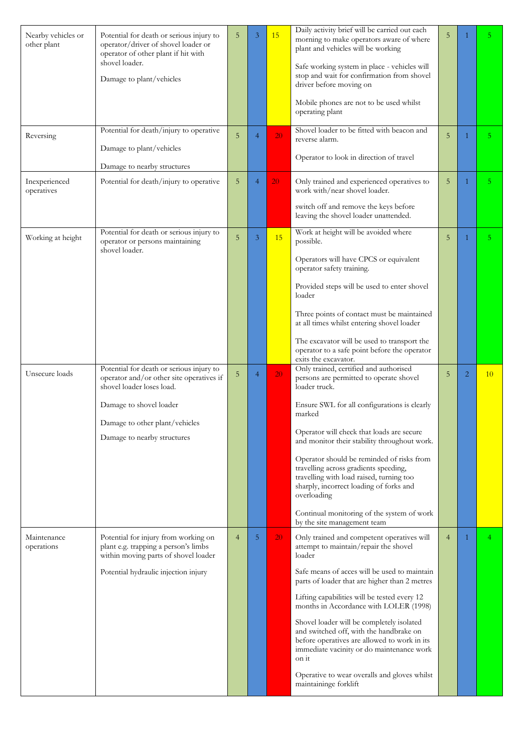| Nearby vehicles or<br>other plant | Potential for death or serious injury to<br>operator/driver of shovel loader or<br>operator of other plant if hit with<br>shovel loader.<br>Damage to plant/vehicles | 5              | 3              | 15              | Daily activity brief will be carried out each<br>morning to make operators aware of where<br>plant and vehicles will be working<br>Safe working system in place - vehicles will<br>stop and wait for confirmation from shovel<br>driver before moving on<br>Mobile phones are not to be used whilst<br>operating plant | 5              |                | 5.             |
|-----------------------------------|----------------------------------------------------------------------------------------------------------------------------------------------------------------------|----------------|----------------|-----------------|------------------------------------------------------------------------------------------------------------------------------------------------------------------------------------------------------------------------------------------------------------------------------------------------------------------------|----------------|----------------|----------------|
| Reversing                         | Potential for death/injury to operative<br>Damage to plant/vehicles                                                                                                  | 5              | $\overline{4}$ | 20              | Shovel loader to be fitted with beacon and<br>reverse alarm.                                                                                                                                                                                                                                                           | 5              | 1              | 5.             |
|                                   | Damage to nearby structures                                                                                                                                          |                |                |                 | Operator to look in direction of travel                                                                                                                                                                                                                                                                                |                |                |                |
| Inexperienced<br>operatives       | Potential for death/injury to operative                                                                                                                              | 5              | $\overline{4}$ | 20              | Only trained and experienced operatives to<br>work with/near shovel loader.                                                                                                                                                                                                                                            | 5              |                | 5 <sup>1</sup> |
|                                   |                                                                                                                                                                      |                |                |                 | switch off and remove the keys before<br>leaving the shovel loader unattended.                                                                                                                                                                                                                                         |                |                |                |
| Working at height                 | Potential for death or serious injury to<br>operator or persons maintaining<br>shovel loader.                                                                        | 5              | 3              | 15              | Work at height will be avoided where<br>possible.                                                                                                                                                                                                                                                                      | 5              |                | 5 <sup>1</sup> |
|                                   |                                                                                                                                                                      |                |                |                 | Operators will have CPCS or equivalent<br>operator safety training.                                                                                                                                                                                                                                                    |                |                |                |
|                                   |                                                                                                                                                                      |                |                |                 | Provided steps will be used to enter shovel<br>loader                                                                                                                                                                                                                                                                  |                |                |                |
|                                   |                                                                                                                                                                      |                |                |                 | Three points of contact must be maintained<br>at all times whilst entering shovel loader                                                                                                                                                                                                                               |                |                |                |
|                                   |                                                                                                                                                                      |                |                |                 | The excavator will be used to transport the<br>operator to a safe point before the operator<br>exits the excavator.                                                                                                                                                                                                    |                |                |                |
| Unsecure loads                    | Potential for death or serious injury to<br>operator and/or other site operatives if<br>shovel loader loses load.                                                    | 5              | $\overline{4}$ | 20              | Only trained, certified and authorised<br>persons are permitted to operate shovel<br>loader truck.                                                                                                                                                                                                                     | 5              | $\overline{2}$ | 10             |
|                                   | Damage to shovel loader                                                                                                                                              |                |                |                 | Ensure SWL for all configurations is clearly<br>marked                                                                                                                                                                                                                                                                 |                |                |                |
|                                   | Damage to other plant/vehicles                                                                                                                                       |                |                |                 | Operator will check that loads are secure                                                                                                                                                                                                                                                                              |                |                |                |
|                                   | Damage to nearby structures                                                                                                                                          |                |                |                 | and monitor their stability throughout work.                                                                                                                                                                                                                                                                           |                |                |                |
|                                   |                                                                                                                                                                      |                |                |                 | Operator should be reminded of risks from<br>travelling across gradients speeding,<br>travelling with load raised, turning too<br>sharply, incorrect loading of forks and<br>overloading                                                                                                                               |                |                |                |
|                                   |                                                                                                                                                                      |                |                |                 | Continual monitoring of the system of work<br>by the site management team                                                                                                                                                                                                                                              |                |                |                |
| Maintenance<br>operations         | Potential for injury from working on<br>plant e.g. trapping a person's limbs<br>within moving parts of shovel loader                                                 | $\overline{4}$ | 5              | 20 <sup>°</sup> | Only trained and competent operatives will<br>attempt to maintain/repair the shovel<br>loader                                                                                                                                                                                                                          | $\overline{4}$ |                |                |
|                                   |                                                                                                                                                                      |                |                |                 |                                                                                                                                                                                                                                                                                                                        |                |                |                |
|                                   | Potential hydraulic injection injury                                                                                                                                 |                |                |                 | Safe means of acces will be used to maintain<br>parts of loader that are higher than 2 metres                                                                                                                                                                                                                          |                |                |                |
|                                   |                                                                                                                                                                      |                |                |                 | Lifting capabilities will be tested every 12<br>months in Accordance with LOLER (1998)                                                                                                                                                                                                                                 |                |                |                |
|                                   |                                                                                                                                                                      |                |                |                 | Shovel loader will be completely isolated<br>and switched off, with the handbrake on<br>before operatives are allowed to work in its<br>immediate vacinity or do maintenance work<br>on it                                                                                                                             |                |                |                |